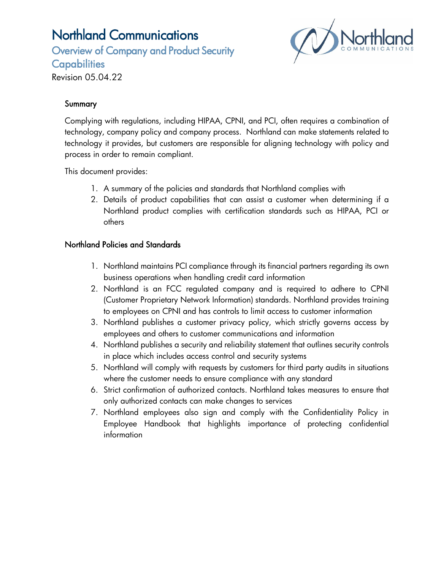Overview of Company and Product Security **Capabilities** 



Revision 05.04.22

### **Summary**

Complying with regulations, including HIPAA, CPNI, and PCI, often requires a combination of technology, company policy and company process. Northland can make statements related to technology it provides, but customers are responsible for aligning technology with policy and process in order to remain compliant.

This document provides:

- 1. A summary of the policies and standards that Northland complies with
- 2. Details of product capabilities that can assist a customer when determining if a Northland product complies with certification standards such as HIPAA, PCI or others

#### Northland Policies and Standards

- 1. Northland maintains PCI compliance through its financial partners regarding its own business operations when handling credit card information
- 2. Northland is an FCC regulated company and is required to adhere to CPNI (Customer Proprietary Network Information) standards. Northland provides training to employees on CPNI and has controls to limit access to customer information
- 3. Northland publishes a customer privacy policy, which strictly governs access by employees and others to customer communications and information
- 4. Northland publishes a security and reliability statement that outlines security controls in place which includes access control and security systems
- 5. Northland will comply with requests by customers for third party audits in situations where the customer needs to ensure compliance with any standard
- 6. Strict confirmation of authorized contacts. Northland takes measures to ensure that only authorized contacts can make changes to services
- 7. Northland employees also sign and comply with the Confidentiality Policy in Employee Handbook that highlights importance of protecting confidential information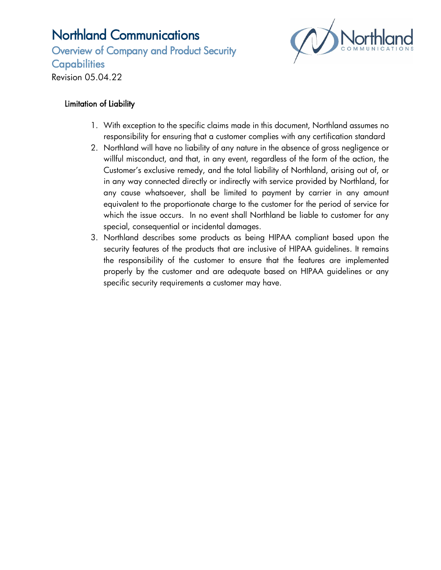Overview of Company and Product Security **Capabilities** 



Revision 05.04.22

### Limitation of Liability

- 1. With exception to the specific claims made in this document, Northland assumes no responsibility for ensuring that a customer complies with any certification standard
- 2. Northland will have no liability of any nature in the absence of gross negligence or willful misconduct, and that, in any event, regardless of the form of the action, the Customer's exclusive remedy, and the total liability of Northland, arising out of, or in any way connected directly or indirectly with service provided by Northland, for any cause whatsoever, shall be limited to payment by carrier in any amount equivalent to the proportionate charge to the customer for the period of service for which the issue occurs. In no event shall Northland be liable to customer for any special, consequential or incidental damages.
- 3. Northland describes some products as being HIPAA compliant based upon the security features of the products that are inclusive of HIPAA guidelines. It remains the responsibility of the customer to ensure that the features are implemented properly by the customer and are adequate based on HIPAA guidelines or any specific security requirements a customer may have.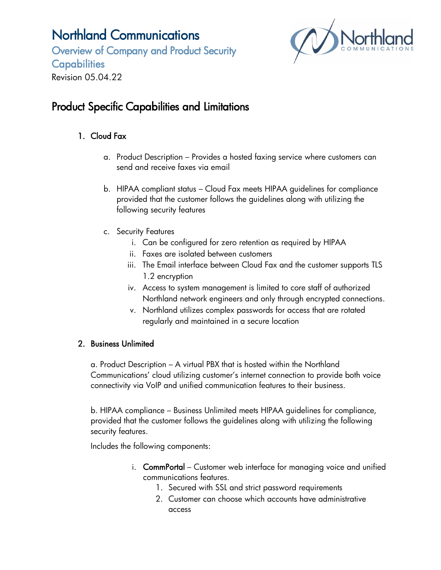Overview of Company and Product Security **Capabilities** Revision 05.04.22



## Product Specific Capabilities and Limitations

### 1. Cloud Fax

- a. Product Description Provides a hosted faxing service where customers can send and receive faxes via email
- b. HIPAA compliant status Cloud Fax meets HIPAA guidelines for compliance provided that the customer follows the guidelines along with utilizing the following security features
- c. Security Features
	- i. Can be configured for zero retention as required by HIPAA
	- ii. Faxes are isolated between customers
	- iii. The Email interface between Cloud Fax and the customer supports TLS 1.2 encryption
	- iv. Access to system management is limited to core staff of authorized Northland network engineers and only through encrypted connections.
	- v. Northland utilizes complex passwords for access that are rotated regularly and maintained in a secure location

#### 2. Business Unlimited

a. Product Description – A virtual PBX that is hosted within the Northland Communications' cloud utilizing customer's internet connection to provide both voice connectivity via VoIP and unified communication features to their business.

b. HIPAA compliance – Business Unlimited meets HIPAA guidelines for compliance, provided that the customer follows the guidelines along with utilizing the following security features.

Includes the following components:

- i. CommPortal Customer web interface for managing voice and unified communications features.
	- 1. Secured with SSL and strict password requirements
	- 2. Customer can choose which accounts have administrative access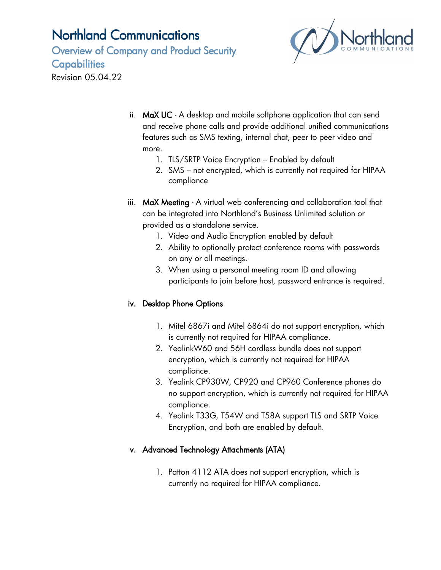Overview of Company and Product Security **Capabilities** Revision 05.04.22



- ii. MaX UC A desktop and mobile softphone application that can send and receive phone calls and provide additional unified communications features such as SMS texting, internal chat, peer to peer video and more.
	- 1. TLS/SRTP Voice Encryption Enabled by default
	- 2. SMS not encrypted, which is currently not required for HIPAA compliance
- iii. MaX Meeting A virtual web conferencing and collaboration tool that can be integrated into Northland's Business Unlimited solution or provided as a standalone service.
	- 1. Video and Audio Encryption enabled by default
	- 2. Ability to optionally protect conference rooms with passwords on any or all meetings.
	- 3. When using a personal meeting room ID and allowing participants to join before host, password entrance is required.

#### iv. Desktop Phone Options

- 1. Mitel 6867i and Mitel 6864i do not support encryption, which is currently not required for HIPAA compliance.
- 2. YealinkW60 and 56H cordless bundle does not support encryption, which is currently not required for HIPAA compliance.
- 3. Yealink CP930W, CP920 and CP960 Conference phones do no support encryption, which is currently not required for HIPAA compliance.
- 4. Yealink T33G, T54W and T58A support TLS and SRTP Voice Encryption, and both are enabled by default.

### v. Advanced Technology Attachments (ATA)

1. Patton 4112 ATA does not support encryption, which is currently no required for HIPAA compliance.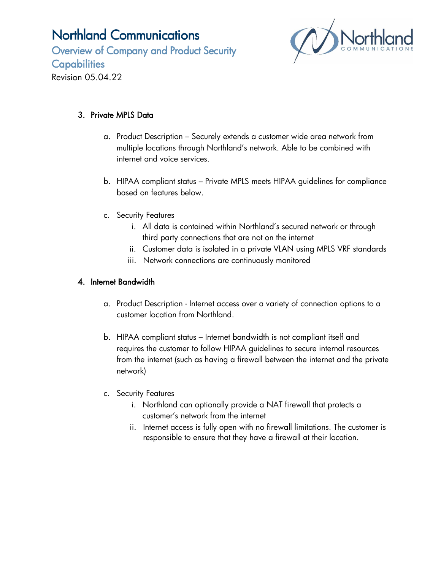Overview of Company and Product Security **Capabilities** Revision 05.04.22



#### 3. Private MPLS Data

- a. Product Description Securely extends a customer wide area network from multiple locations through Northland's network. Able to be combined with internet and voice services.
- b. HIPAA compliant status Private MPLS meets HIPAA guidelines for compliance based on features below.
- c. Security Features
	- i. All data is contained within Northland's secured network or through third party connections that are not on the internet
	- ii. Customer data is isolated in a private VLAN using MPLS VRF standards
	- iii. Network connections are continuously monitored

#### 4. Internet Bandwidth

- a. Product Description Internet access over a variety of connection options to a customer location from Northland.
- b. HIPAA compliant status Internet bandwidth is not compliant itself and requires the customer to follow HIPAA guidelines to secure internal resources from the internet (such as having a firewall between the internet and the private network)
- c. Security Features
	- i. Northland can optionally provide a NAT firewall that protects a customer's network from the internet
	- ii. Internet access is fully open with no firewall limitations. The customer is responsible to ensure that they have a firewall at their location.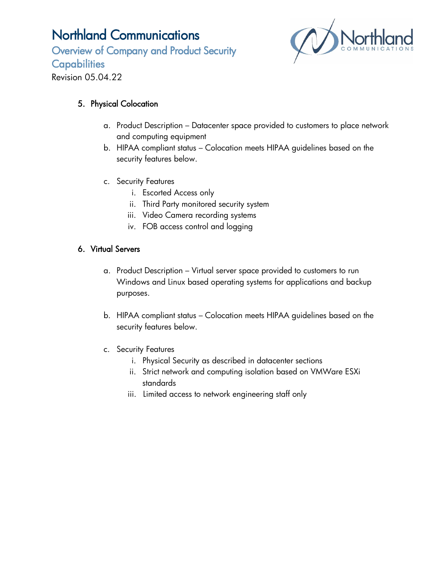Overview of Company and Product Security **Capabilities** 



Revision 05.04.22

### 5. Physical Colocation

- a. Product Description Datacenter space provided to customers to place network and computing equipment
- b. HIPAA compliant status Colocation meets HIPAA guidelines based on the security features below.
- c. Security Features
	- i. Escorted Access only
	- ii. Third Party monitored security system
	- iii. Video Camera recording systems
	- iv. FOB access control and logging

### 6. Virtual Servers

- a. Product Description Virtual server space provided to customers to run Windows and Linux based operating systems for applications and backup purposes.
- b. HIPAA compliant status Colocation meets HIPAA guidelines based on the security features below.
- c. Security Features
	- i. Physical Security as described in datacenter sections
	- ii. Strict network and computing isolation based on VMWare ESXi standards
	- iii. Limited access to network engineering staff only